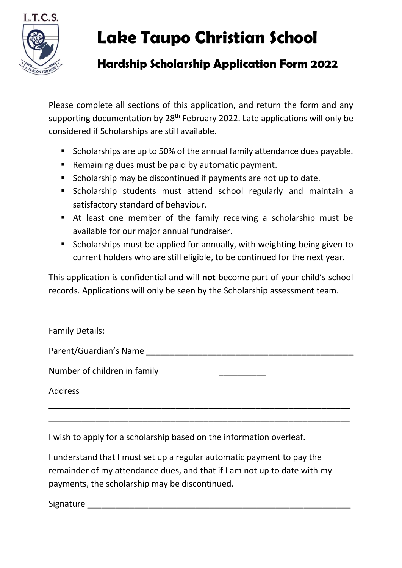

## **Lake Taupo Christian School**

## **Hardship Scholarship Application Form 2022**

Please complete all sections of this application, and return the form and any supporting documentation by 28<sup>th</sup> February 2022. Late applications will only be considered if Scholarships are still available.

- Scholarships are up to 50% of the annual family attendance dues payable.
- Remaining dues must be paid by automatic payment.
- Scholarship may be discontinued if payments are not up to date.
- Scholarship students must attend school regularly and maintain a satisfactory standard of behaviour.
- At least one member of the family receiving a scholarship must be available for our major annual fundraiser.
- Scholarships must be applied for annually, with weighting being given to current holders who are still eligible, to be continued for the next year.

This application is confidential and will **not** become part of your child's school records. Applications will only be seen by the Scholarship assessment team.

| <b>Family Details:</b>       |  |
|------------------------------|--|
| Parent/Guardian's Name       |  |
| Number of children in family |  |
| <b>Address</b>               |  |
|                              |  |

\_\_\_\_\_\_\_\_\_\_\_\_\_\_\_\_\_\_\_\_\_\_\_\_\_\_\_\_\_\_\_\_\_\_\_\_\_\_\_\_\_\_\_\_\_\_\_\_\_\_\_\_\_\_\_\_\_\_\_\_\_\_\_\_

I wish to apply for a scholarship based on the information overleaf.

I understand that I must set up a regular automatic payment to pay the remainder of my attendance dues, and that if I am not up to date with my payments, the scholarship may be discontinued.

Signature